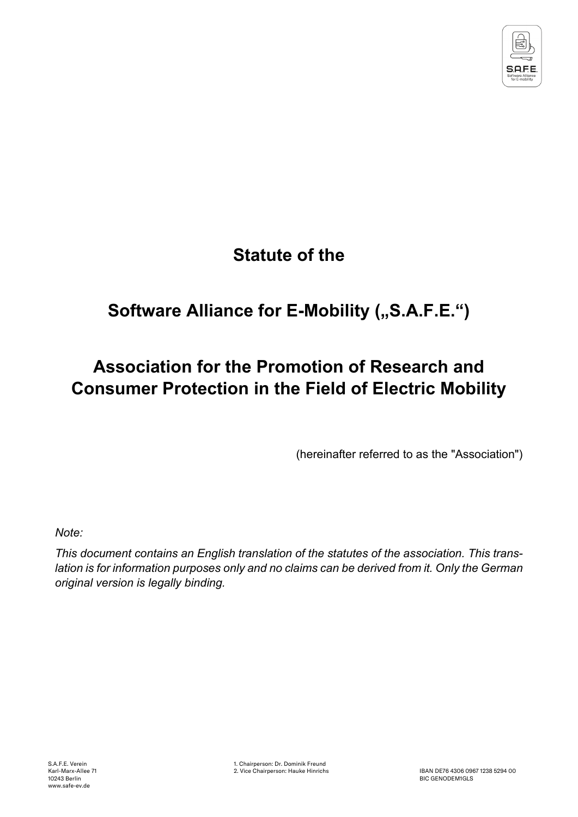

# **Statute of the**

# **Software Alliance for E-Mobility ("S.A.F.E.")**

# **Association for the Promotion of Research and Consumer Protection in the Field of Electric Mobility**

(hereinafter referred to as the "Association")

*Note:*

*This document contains an English translation of the statutes of the association. This trans*lation is for information purposes only and no claims can be derived from it. Only the German *original version is legally binding.*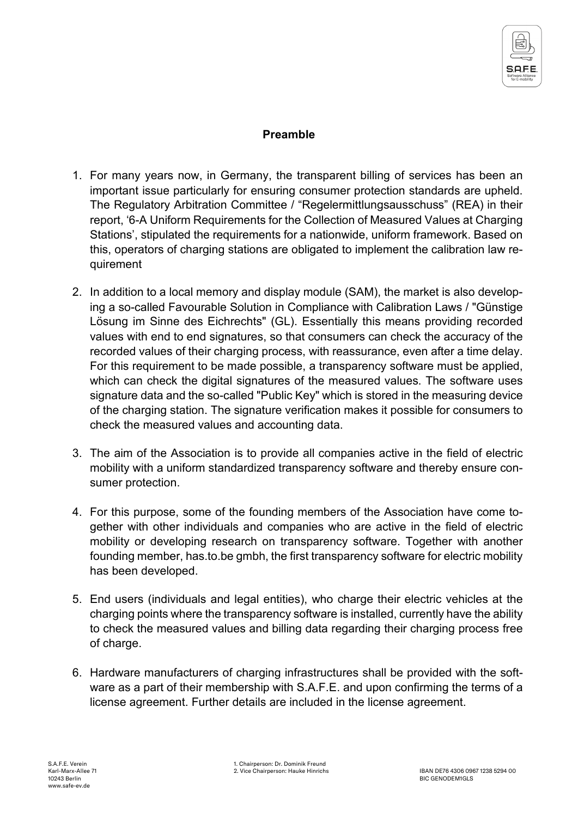

#### **Preamble**

- 1. For many years now, in Germany, the transparent billing of services has been an important issue particularly for ensuring consumer protection standards are upheld. The Regulatory Arbitration Committee / "Regelermittlungsausschuss" (REA) in their report, '6-A Uniform Requirements for the Collection of Measured Values at Charging Stations', stipulated the requirements for a nationwide, uniform framework. Based on this, operators of charging stations are obligated to implement the calibration law requirement
- 2. In addition to a local memory and display module (SAM), the market is also developing a so-called Favourable Solution in Compliance with Calibration Laws / "Günstige Lösung im Sinne des Eichrechts" (GL). Essentially this means providing recorded values with end to end signatures, so that consumers can check the accuracy of the recorded values of their charging process, with reassurance, even after a time delay. For this requirement to be made possible, a transparency software must be applied, which can check the digital signatures of the measured values. The software uses signature data and the so-called "Public Key" which is stored in the measuring device of the charging station. The signature verification makes it possible for consumers to check the measured values and accounting data.
- 3. The aim of the Association is to provide all companies active in the field of electric mobility with a uniform standardized transparency software and thereby ensure consumer protection.
- 4. For this purpose, some of the founding members of the Association have come together with other individuals and companies who are active in the field of electric mobility or developing research on transparency software. Together with another founding member, has.to.be gmbh, the first transparency software for electric mobility has been developed.
- 5. End users (individuals and legal entities), who charge their electric vehicles at the charging points where the transparency software is installed, currently have the ability to check the measured values and billing data regarding their charging process free of charge.
- 6. Hardware manufacturers of charging infrastructures shall be provided with the software as a part of their membership with S.A.F.E. and upon confirming the terms of a license agreement. Further details are included in the license agreement.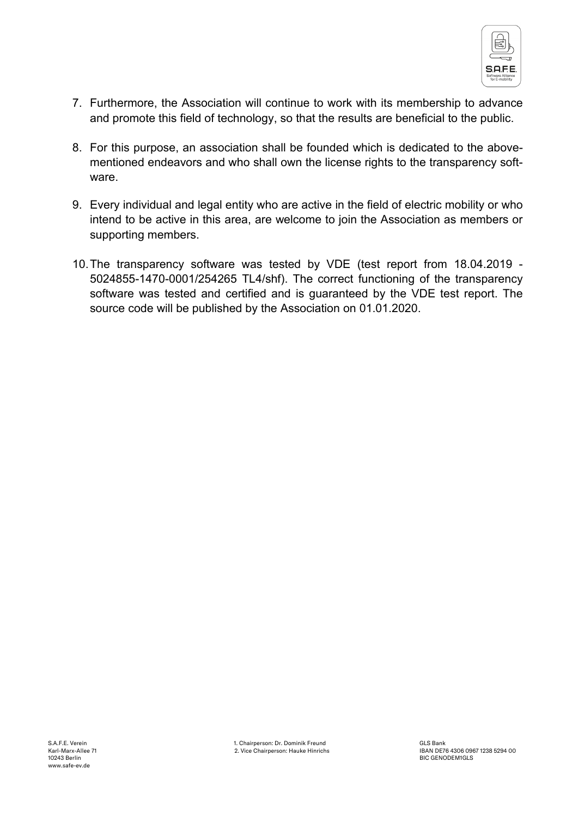

- 7. Furthermore, the Association will continue to work with its membership to advance and promote this field of technology, so that the results are beneficial to the public.
- 8. For this purpose, an association shall be founded which is dedicated to the abovementioned endeavors and who shall own the license rights to the transparency software.
- 9. Every individual and legal entity who are active in the field of electric mobility or who intend to be active in this area, are welcome to join the Association as members or supporting members.
- 10.The transparency software was tested by VDE (test report from 18.04.2019 5024855-1470-0001/254265 TL4/shf). The correct functioning of the transparency software was tested and certified and is guaranteed by the VDE test report. The source code will be published by the Association on 01.01.2020.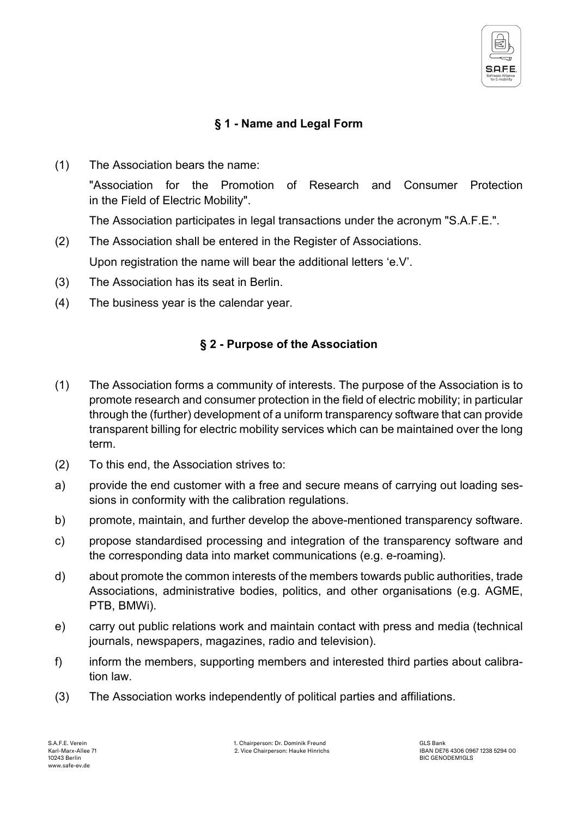

## **§ 1 - Name and Legal Form**

(1) The Association bears the name:

"Association for the Promotion of Research and Consumer Protection in the Field of Electric Mobility".

The Association participates in legal transactions under the acronym "S.A.F.E.".

- (2) The Association shall be entered in the Register of Associations. Upon registration the name will bear the additional letters 'e.V'.
- (3) The Association has its seat in Berlin.
- (4) The business year is the calendar year.

### **§ 2 - Purpose of the Association**

- (1) The Association forms a community of interests. The purpose of the Association is to promote research and consumer protection in the field of electric mobility; in particular through the (further) development of a uniform transparency software that can provide transparent billing for electric mobility services which can be maintained over the long term.
- (2) To this end, the Association strives to:
- a) provide the end customer with a free and secure means of carrying out loading sessions in conformity with the calibration regulations.
- b) promote, maintain, and further develop the above-mentioned transparency software.
- c) propose standardised processing and integration of the transparency software and the corresponding data into market communications (e.g. e-roaming).
- d) about promote the common interests of the members towards public authorities, trade Associations, administrative bodies, politics, and other organisations (e.g. AGME, PTB, BMWi).
- e) carry out public relations work and maintain contact with press and media (technical journals, newspapers, magazines, radio and television).
- f) inform the members, supporting members and interested third parties about calibration law.
- (3) The Association works independently of political parties and affiliations.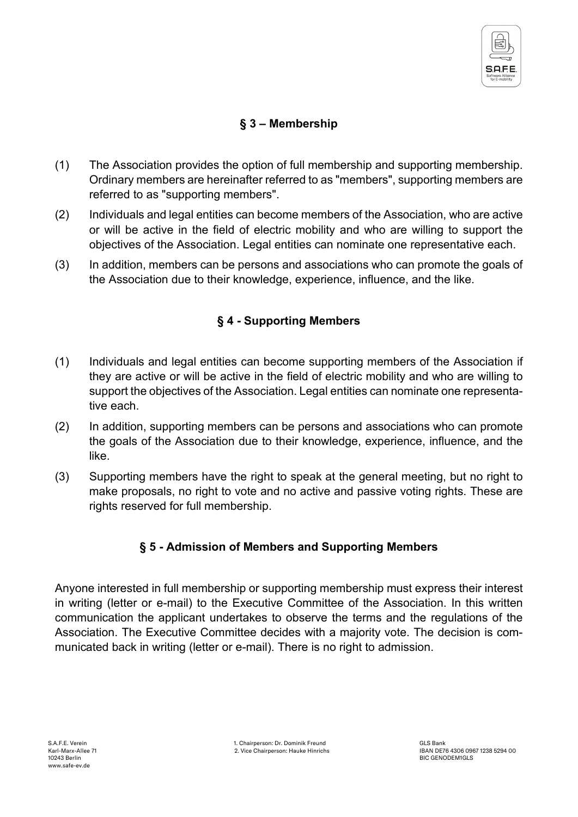

## **§ 3 – Membership**

- (1) The Association provides the option of full membership and supporting membership. Ordinary members are hereinafter referred to as "members", supporting members are referred to as "supporting members".
- (2) Individuals and legal entities can become members of the Association, who are active or will be active in the field of electric mobility and who are willing to support the objectives of the Association. Legal entities can nominate one representative each.
- (3) In addition, members can be persons and associations who can promote the goals of the Association due to their knowledge, experience, influence, and the like.

#### **§ 4 - Supporting Members**

- (1) Individuals and legal entities can become supporting members of the Association if they are active or will be active in the field of electric mobility and who are willing to support the objectives of the Association. Legal entities can nominate one representative each.
- (2) In addition, supporting members can be persons and associations who can promote the goals of the Association due to their knowledge, experience, influence, and the like.
- (3) Supporting members have the right to speak at the general meeting, but no right to make proposals, no right to vote and no active and passive voting rights. These are rights reserved for full membership.

#### **§ 5 - Admission of Members and Supporting Members**

Anyone interested in full membership or supporting membership must express their interest in writing (letter or e-mail) to the Executive Committee of the Association. In this written communication the applicant undertakes to observe the terms and the regulations of the Association. The Executive Committee decides with a majority vote. The decision is communicated back in writing (letter or e-mail). There is no right to admission.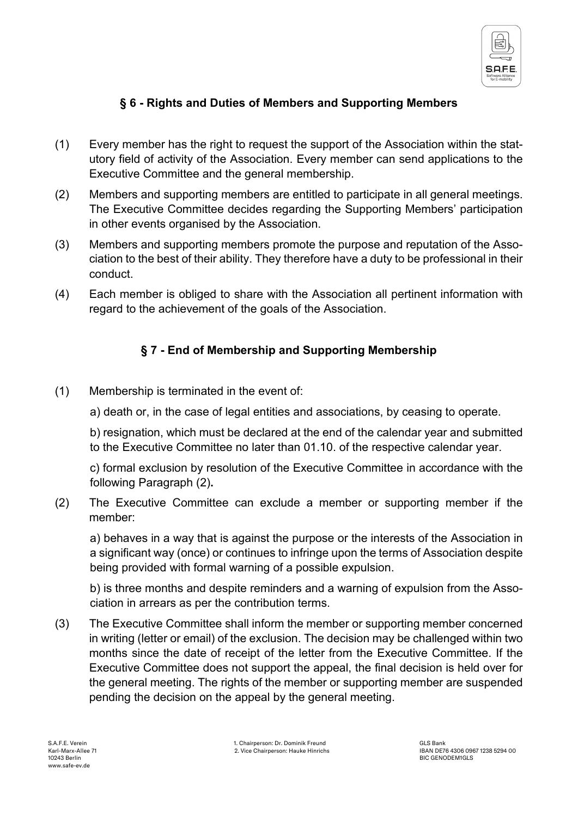

### **§ 6 - Rights and Duties of Members and Supporting Members**

- (1) Every member has the right to request the support of the Association within the statutory field of activity of the Association. Every member can send applications to the Executive Committee and the general membership.
- (2) Members and supporting members are entitled to participate in all general meetings. The Executive Committee decides regarding the Supporting Members' participation in other events organised by the Association.
- (3) Members and supporting members promote the purpose and reputation of the Association to the best of their ability. They therefore have a duty to be professional in their conduct.
- (4) Each member is obliged to share with the Association all pertinent information with regard to the achievement of the goals of the Association.

#### **§ 7 - End of Membership and Supporting Membership**

- (1) Membership is terminated in the event of:
	- a) death or, in the case of legal entities and associations, by ceasing to operate.

b) resignation, which must be declared at the end of the calendar year and submitted to the Executive Committee no later than 01.10. of the respective calendar year.

c) formal exclusion by resolution of the Executive Committee in accordance with the following Paragraph (2)**.**

(2) The Executive Committee can exclude a member or supporting member if the member:

a) behaves in a way that is against the purpose or the interests of the Association in a significant way (once) or continues to infringe upon the terms of Association despite being provided with formal warning of a possible expulsion.

b) is three months and despite reminders and a warning of expulsion from the Association in arrears as per the contribution terms.

(3) The Executive Committee shall inform the member or supporting member concerned in writing (letter or email) of the exclusion. The decision may be challenged within two months since the date of receipt of the letter from the Executive Committee. If the Executive Committee does not support the appeal, the final decision is held over for the general meeting. The rights of the member or supporting member are suspended pending the decision on the appeal by the general meeting.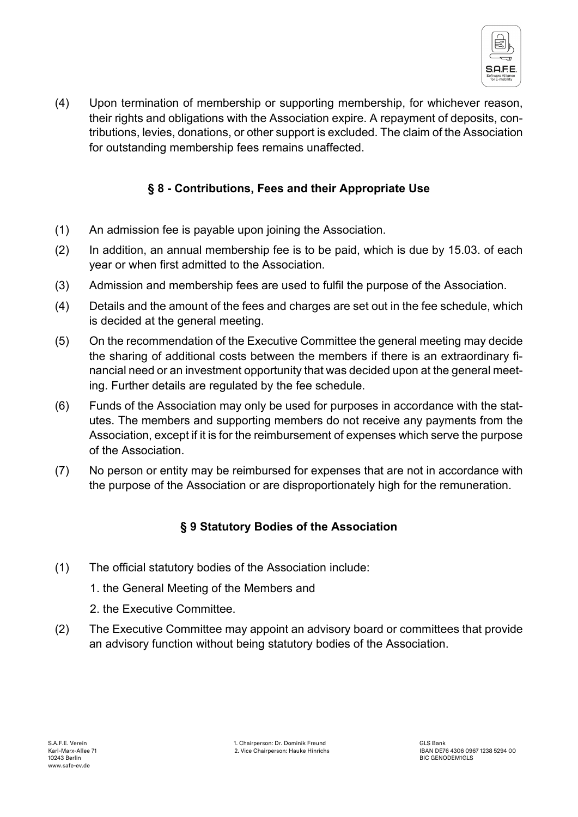

(4) Upon termination of membership or supporting membership, for whichever reason, their rights and obligations with the Association expire. A repayment of deposits, contributions, levies, donations, or other support is excluded. The claim of the Association for outstanding membership fees remains unaffected.

## **§ 8 - Contributions, Fees and their Appropriate Use**

- (1) An admission fee is payable upon joining the Association.
- (2) In addition, an annual membership fee is to be paid, which is due by 15.03. of each year or when first admitted to the Association.
- (3) Admission and membership fees are used to fulfil the purpose of the Association.
- (4) Details and the amount of the fees and charges are set out in the fee schedule, which is decided at the general meeting.
- (5) On the recommendation of the Executive Committee the general meeting may decide the sharing of additional costs between the members if there is an extraordinary financial need or an investment opportunity that was decided upon at the general meeting. Further details are regulated by the fee schedule.
- (6) Funds of the Association may only be used for purposes in accordance with the statutes. The members and supporting members do not receive any payments from the Association, except if it is for the reimbursement of expenses which serve the purpose of the Association.
- (7) No person or entity may be reimbursed for expenses that are not in accordance with the purpose of the Association or are disproportionately high for the remuneration.

## **§ 9 Statutory Bodies of the Association**

- (1) The official statutory bodies of the Association include:
	- 1. the General Meeting of the Members and
	- 2. the Executive Committee.
- (2) The Executive Committee may appoint an advisory board or committees that provide an advisory function without being statutory bodies of the Association.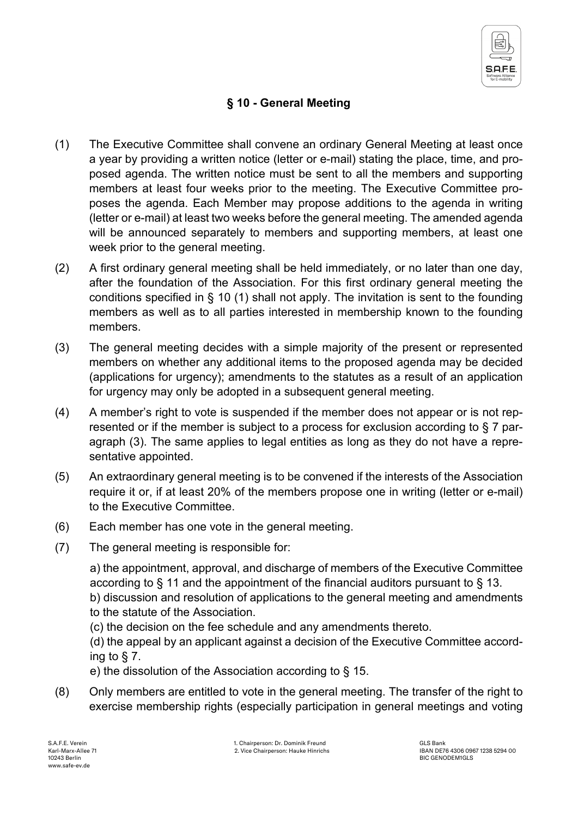

## **§ 10 - General Meeting**

- (1) The Executive Committee shall convene an ordinary General Meeting at least once a year by providing a written notice (letter or e-mail) stating the place, time, and proposed agenda. The written notice must be sent to all the members and supporting members at least four weeks prior to the meeting. The Executive Committee proposes the agenda. Each Member may propose additions to the agenda in writing (letter or e-mail) at least two weeks before the general meeting. The amended agenda will be announced separately to members and supporting members, at least one week prior to the general meeting.
- (2) A first ordinary general meeting shall be held immediately, or no later than one day, after the foundation of the Association. For this first ordinary general meeting the conditions specified in § 10 (1) shall not apply. The invitation is sent to the founding members as well as to all parties interested in membership known to the founding members.
- (3) The general meeting decides with a simple majority of the present or represented members on whether any additional items to the proposed agenda may be decided (applications for urgency); amendments to the statutes as a result of an application for urgency may only be adopted in a subsequent general meeting.
- (4) A member's right to vote is suspended if the member does not appear or is not represented or if the member is subject to a process for exclusion according to § 7 paragraph (3). The same applies to legal entities as long as they do not have a representative appointed.
- (5) An extraordinary general meeting is to be convened if the interests of the Association require it or, if at least 20% of the members propose one in writing (letter or e-mail) to the Executive Committee.
- (6) Each member has one vote in the general meeting.
- (7) The general meeting is responsible for:

a) the appointment, approval, and discharge of members of the Executive Committee according to § 11 and the appointment of the financial auditors pursuant to § 13. b) discussion and resolution of applications to the general meeting and amendments

to the statute of the Association.

(c) the decision on the fee schedule and any amendments thereto.

(d) the appeal by an applicant against a decision of the Executive Committee according to § 7.

e) the dissolution of the Association according to § 15.

(8) Only members are entitled to vote in the general meeting. The transfer of the right to exercise membership rights (especially participation in general meetings and voting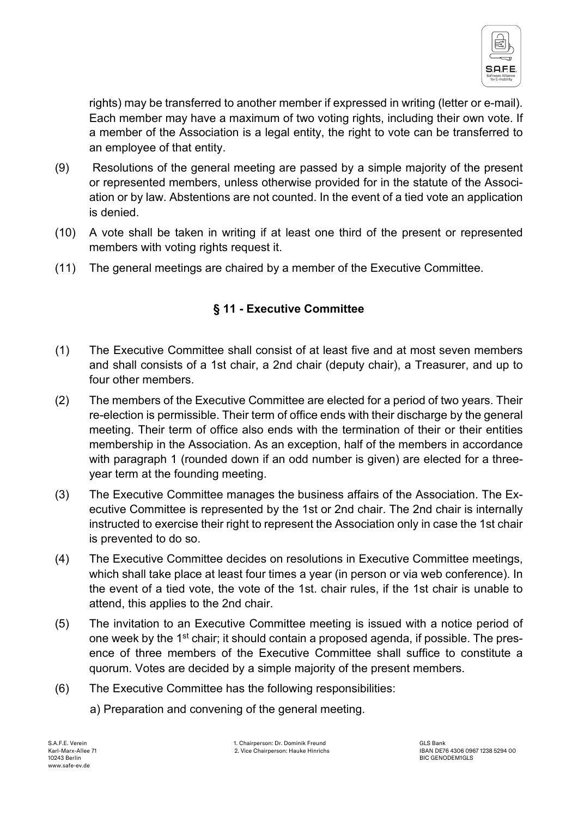

rights) may be transferred to another member if expressed in writing (letter or e-mail). Each member may have a maximum of two voting rights, including their own vote. If a member of the Association is a legal entity, the right to vote can be transferred to an employee of that entity.

- (9) Resolutions of the general meeting are passed by a simple majority of the present or represented members, unless otherwise provided for in the statute of the Association or by law. Abstentions are not counted. In the event of a tied vote an application is denied.
- (10) A vote shall be taken in writing if at least one third of the present or represented members with voting rights request it.
- (11) The general meetings are chaired by a member of the Executive Committee.

## **§ 11 - Executive Committee**

- (1) The Executive Committee shall consist of at least five and at most seven members and shall consists of a 1st chair, a 2nd chair (deputy chair), a Treasurer, and up to four other members.
- (2) The members of the Executive Committee are elected for a period of two years. Their re-election is permissible. Their term of office ends with their discharge by the general meeting. Their term of office also ends with the termination of their or their entities membership in the Association. As an exception, half of the members in accordance with paragraph 1 (rounded down if an odd number is given) are elected for a threeyear term at the founding meeting.
- (3) The Executive Committee manages the business affairs of the Association. The Executive Committee is represented by the 1st or 2nd chair. The 2nd chair is internally instructed to exercise their right to represent the Association only in case the 1st chair is prevented to do so.
- (4) The Executive Committee decides on resolutions in Executive Committee meetings, which shall take place at least four times a year (in person or via web conference). In the event of a tied vote, the vote of the 1st. chair rules, if the 1st chair is unable to attend, this applies to the 2nd chair.
- (5) The invitation to an Executive Committee meeting is issued with a notice period of one week by the  $1<sup>st</sup>$  chair; it should contain a proposed agenda, if possible. The presence of three members of the Executive Committee shall suffice to constitute a quorum. Votes are decided by a simple majority of the present members.
- (6) The Executive Committee has the following responsibilities:
	- a) Preparation and convening of the general meeting.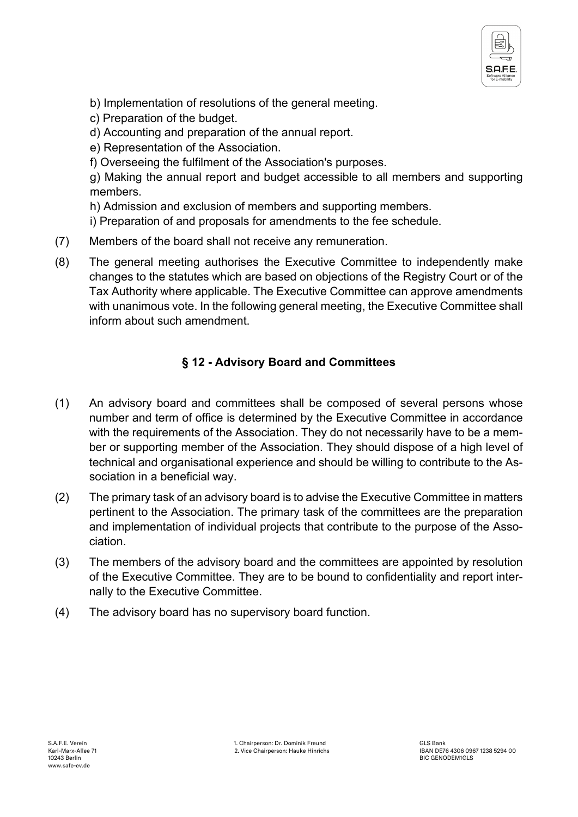

- b) Implementation of resolutions of the general meeting.
- c) Preparation of the budget.
- d) Accounting and preparation of the annual report.
- e) Representation of the Association.
- f) Overseeing the fulfilment of the Association's purposes.

g) Making the annual report and budget accessible to all members and supporting members.

h) Admission and exclusion of members and supporting members.

i) Preparation of and proposals for amendments to the fee schedule.

- (7) Members of the board shall not receive any remuneration.
- (8) The general meeting authorises the Executive Committee to independently make changes to the statutes which are based on objections of the Registry Court or of the Tax Authority where applicable. The Executive Committee can approve amendments with unanimous vote. In the following general meeting, the Executive Committee shall inform about such amendment.

### **§ 12 - Advisory Board and Committees**

- (1) An advisory board and committees shall be composed of several persons whose number and term of office is determined by the Executive Committee in accordance with the requirements of the Association. They do not necessarily have to be a member or supporting member of the Association. They should dispose of a high level of technical and organisational experience and should be willing to contribute to the Association in a beneficial way.
- (2) The primary task of an advisory board is to advise the Executive Committee in matters pertinent to the Association. The primary task of the committees are the preparation and implementation of individual projects that contribute to the purpose of the Association.
- (3) The members of the advisory board and the committees are appointed by resolution of the Executive Committee. They are to be bound to confidentiality and report internally to the Executive Committee.
- (4) The advisory board has no supervisory board function.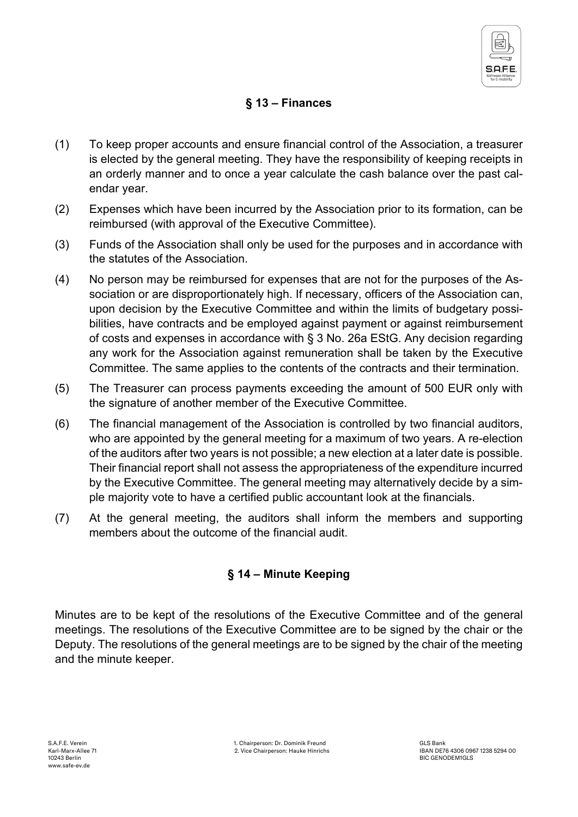

## **§ 13 – Finances**

- (1) To keep proper accounts and ensure financial control of the Association, a treasurer is elected by the general meeting. They have the responsibility of keeping receipts in an orderly manner and to once a year calculate the cash balance over the past calendar year.
- (2) Expenses which have been incurred by the Association prior to its formation, can be reimbursed (with approval of the Executive Committee).
- (3) Funds of the Association shall only be used for the purposes and in accordance with the statutes of the Association.
- (4) No person may be reimbursed for expenses that are not for the purposes of the Association or are disproportionately high. If necessary, officers of the Association can, upon decision by the Executive Committee and within the limits of budgetary possibilities, have contracts and be employed against payment or against reimbursement of costs and expenses in accordance with § 3 No. 26a EStG. Any decision regarding any work for the Association against remuneration shall be taken by the Executive Committee. The same applies to the contents of the contracts and their termination.
- (5) The Treasurer can process payments exceeding the amount of 500 EUR only with the signature of another member of the Executive Committee.
- (6) The financial management of the Association is controlled by two financial auditors, who are appointed by the general meeting for a maximum of two years. A re-election of the auditors after two years is not possible; a new election at a later date is possible. Their financial report shall not assess the appropriateness of the expenditure incurred by the Executive Committee. The general meeting may alternatively decide by a simple majority vote to have a certified public accountant look at the financials.
- (7) At the general meeting, the auditors shall inform the members and supporting members about the outcome of the financial audit.

#### **§ 14 – Minute Keeping**

Minutes are to be kept of the resolutions of the Executive Committee and of the general meetings. The resolutions of the Executive Committee are to be signed by the chair or the Deputy. The resolutions of the general meetings are to be signed by the chair of the meeting and the minute keeper.